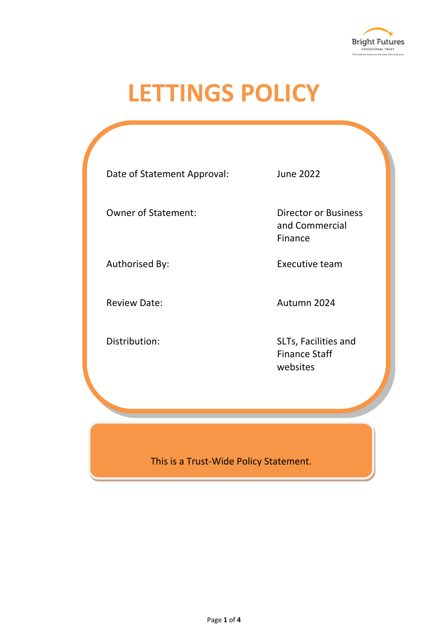

# **LETTINGS POLICY**

| Date of Statement Approval: | <b>June 2022</b>                                         |
|-----------------------------|----------------------------------------------------------|
| <b>Owner of Statement:</b>  | <b>Director or Business</b><br>and Commercial<br>Finance |
| Authorised By:              | Executive team                                           |
| <b>Review Date:</b>         | Autumn 2024                                              |
| Distribution:               | SLTs, Facilities and<br><b>Finance Staff</b><br>websites |
|                             |                                                          |

This is a Trust-Wide Policy Statement.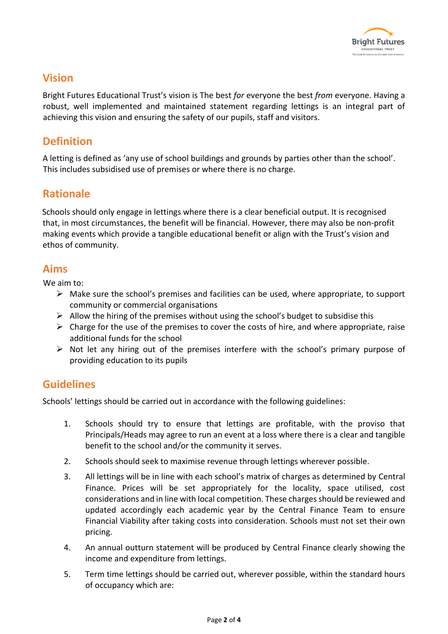

## **Vision**

Bright Futures Educational Trust's vision is The best *for* everyone the best *from* everyone. Having a robust, well implemented and maintained statement regarding lettings is an integral part of achieving this vision and ensuring the safety of our pupils, staff and visitors.

## **Definition**

A letting is defined as 'any use of school buildings and grounds by parties other than the school'. This includes subsidised use of premises or where there is no charge.

#### **Rationale**

Schools should only engage in lettings where there is a clear beneficial output. It is recognised that, in most circumstances, the benefit will be financial. However, there may also be non-profit making events which provide a tangible educational benefit or align with the Trust's vision and ethos of community.

#### **Aims**

We aim to:

- ➢ Make sure the school's premises and facilities can be used, where appropriate, to support community or commercial organisations
- $\triangleright$  Allow the hiring of the premises without using the school's budget to subsidise this
- $\triangleright$  Charge for the use of the premises to cover the costs of hire, and where appropriate, raise additional funds for the school
- ➢ Not let any hiring out of the premises interfere with the school's primary purpose of providing education to its pupils

## **Guidelines**

Schools' lettings should be carried out in accordance with the following guidelines:

- 1. Schools should try to ensure that lettings are profitable, with the proviso that Principals/Heads may agree to run an event at a loss where there is a clear and tangible benefit to the school and/or the community it serves.
- 2. Schools should seek to maximise revenue through lettings wherever possible.
- 3. All lettings will be in line with each school's matrix of charges as determined by Central Finance. Prices will be set appropriately for the locality, space utilised, cost considerations and in line with local competition. These charges should be reviewed and updated accordingly each academic year by the Central Finance Team to ensure Financial Viability after taking costs into consideration. Schools must not set their own pricing.
- 4. An annual outturn statement will be produced by Central Finance clearly showing the income and expenditure from lettings.
- 5. Term time lettings should be carried out, wherever possible, within the standard hours of occupancy which are: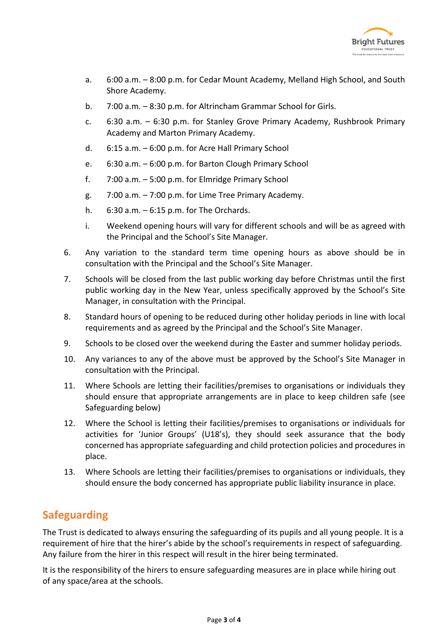

- a. 6:00 a.m. 8:00 p.m. for Cedar Mount Academy, Melland High School, and South Shore Academy.
- b. 7:00 a.m. 8:30 p.m. for Altrincham Grammar School for Girls.
- c. 6:30 a.m. 6:30 p.m. for Stanley Grove Primary Academy, Rushbrook Primary Academy and Marton Primary Academy.
- d. 6:15 a.m. 6:00 p.m. for Acre Hall Primary School
- e. 6:30 a.m. 6:00 p.m. for Barton Clough Primary School
- f. 7:00 a.m. 5:00 p.m. for Elmridge Primary School
- g. 7:00 a.m. 7:00 p.m. for Lime Tree Primary Academy.
- h. 6:30 a.m. 6:15 p.m. for The Orchards.
- i. Weekend opening hours will vary for different schools and will be as agreed with the Principal and the School's Site Manager.
- 6. Any variation to the standard term time opening hours as above should be in consultation with the Principal and the School's Site Manager.
- 7. Schools will be closed from the last public working day before Christmas until the first public working day in the New Year, unless specifically approved by the School's Site Manager, in consultation with the Principal.
- 8. Standard hours of opening to be reduced during other holiday periods in line with local requirements and as agreed by the Principal and the School's Site Manager.
- 9. Schools to be closed over the weekend during the Easter and summer holiday periods.
- 10. Any variances to any of the above must be approved by the School's Site Manager in consultation with the Principal.
- 11. Where Schools are letting their facilities/premises to organisations or individuals they should ensure that appropriate arrangements are in place to keep children safe (see Safeguarding below)
- 12. Where the School is letting their facilities/premises to organisations or individuals for activities for 'Junior Groups' (U18's), they should seek assurance that the body concerned has appropriate safeguarding and child protection policies and procedures in place.
- 13. Where Schools are letting their facilities/premises to organisations or individuals, they should ensure the body concerned has appropriate public liability insurance in place.

# **Safeguarding**

The Trust is dedicated to always ensuring the safeguarding of its pupils and all young people. It is a requirement of hire that the hirer's abide by the school's requirements in respect of safeguarding. Any failure from the hirer in this respect will result in the hirer being terminated.

It is the responsibility of the hirers to ensure safeguarding measures are in place while hiring out of any space/area at the schools.